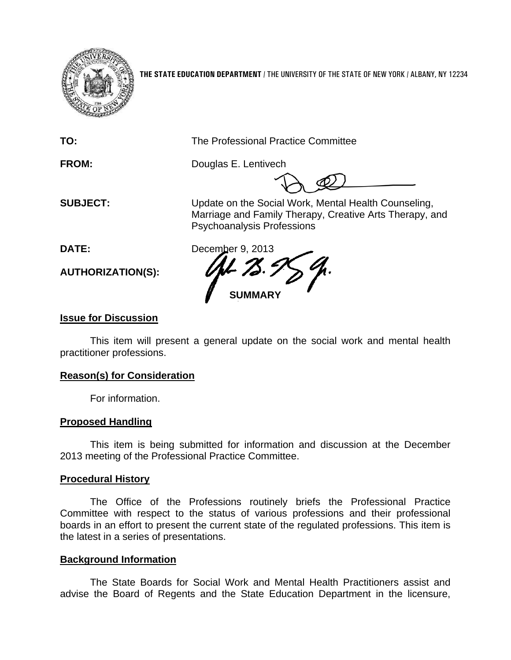

**THE STATE EDUCATION DEPARTMENT** / THE UNIVERSITY OF THE STATE OF NEW YORK / ALBANY, NY 12234

| TO:                         | The Professional Practice Committee                                                                                                                  |
|-----------------------------|------------------------------------------------------------------------------------------------------------------------------------------------------|
| <b>FROM:</b>                | Douglas E. Lentivech                                                                                                                                 |
| <b>SUBJECT:</b>             | Update on the Social Work, Mental Health Counseling,<br>Marriage and Family Therapy, Creative Arts Therapy, and<br><b>Psychoanalysis Professions</b> |
| DATE:                       | December 9, 2013                                                                                                                                     |
| <b>AUTHORIZATION(S):</b>    | <b>SUMMARY</b>                                                                                                                                       |
| <b>Issue for Discussion</b> |                                                                                                                                                      |

This item will present a general update on the social work and mental health practitioner professions.

## **Reason(s) for Consideration**

For information.

## **Proposed Handling**

This item is being submitted for information and discussion at the December 2013 meeting of the Professional Practice Committee.

## **Procedural History**

The Office of the Professions routinely briefs the Professional Practice Committee with respect to the status of various professions and their professional boards in an effort to present the current state of the regulated professions. This item is the latest in a series of presentations.

## **Background Information**

The State Boards for Social Work and Mental Health Practitioners assist and advise the Board of Regents and the State Education Department in the licensure,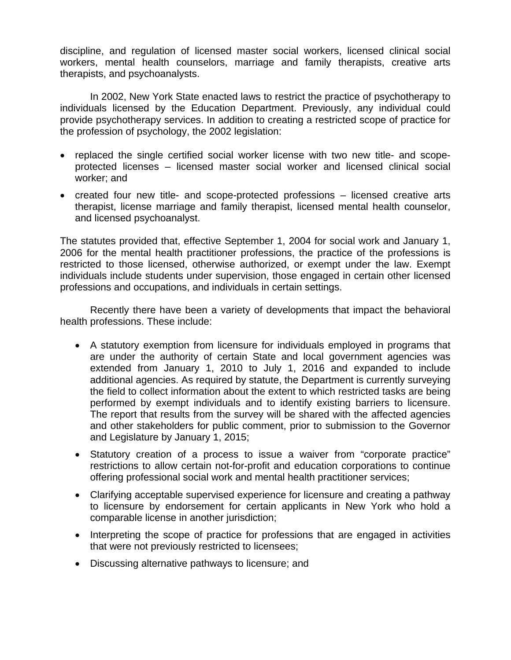discipline, and regulation of licensed master social workers, licensed clinical social workers, mental health counselors, marriage and family therapists, creative arts therapists, and psychoanalysts.

In 2002, New York State enacted laws to restrict the practice of psychotherapy to individuals licensed by the Education Department. Previously, any individual could provide psychotherapy services. In addition to creating a restricted scope of practice for the profession of psychology, the 2002 legislation:

- replaced the single certified social worker license with two new title- and scopeprotected licenses – licensed master social worker and licensed clinical social worker; and
- created four new title- and scope-protected professions licensed creative arts therapist, license marriage and family therapist, licensed mental health counselor, and licensed psychoanalyst.

The statutes provided that, effective September 1, 2004 for social work and January 1, 2006 for the mental health practitioner professions, the practice of the professions is restricted to those licensed, otherwise authorized, or exempt under the law. Exempt individuals include students under supervision, those engaged in certain other licensed professions and occupations, and individuals in certain settings.

 Recently there have been a variety of developments that impact the behavioral health professions. These include:

- A statutory exemption from licensure for individuals employed in programs that are under the authority of certain State and local government agencies was extended from January 1, 2010 to July 1, 2016 and expanded to include additional agencies. As required by statute, the Department is currently surveying the field to collect information about the extent to which restricted tasks are being performed by exempt individuals and to identify existing barriers to licensure. The report that results from the survey will be shared with the affected agencies and other stakeholders for public comment, prior to submission to the Governor and Legislature by January 1, 2015;
- Statutory creation of a process to issue a waiver from "corporate practice" restrictions to allow certain not-for-profit and education corporations to continue offering professional social work and mental health practitioner services;
- Clarifying acceptable supervised experience for licensure and creating a pathway to licensure by endorsement for certain applicants in New York who hold a comparable license in another jurisdiction;
- Interpreting the scope of practice for professions that are engaged in activities that were not previously restricted to licensees;
- Discussing alternative pathways to licensure; and